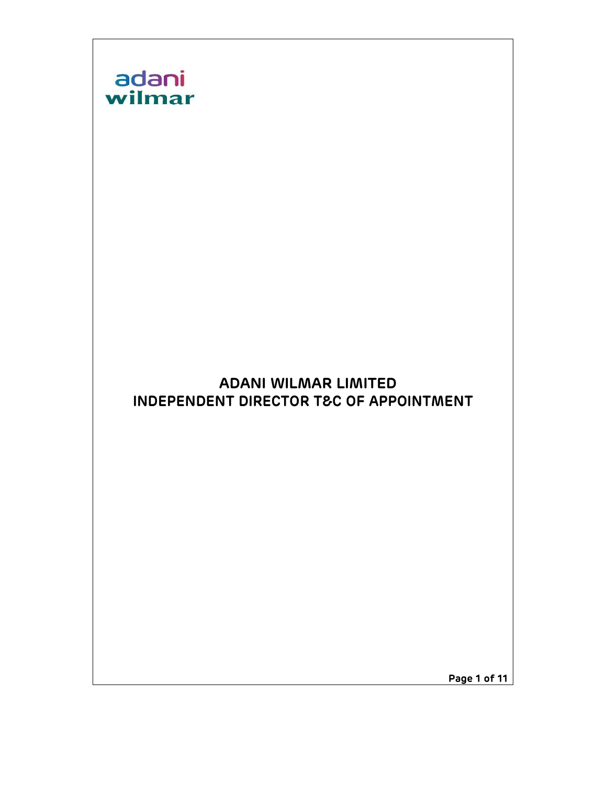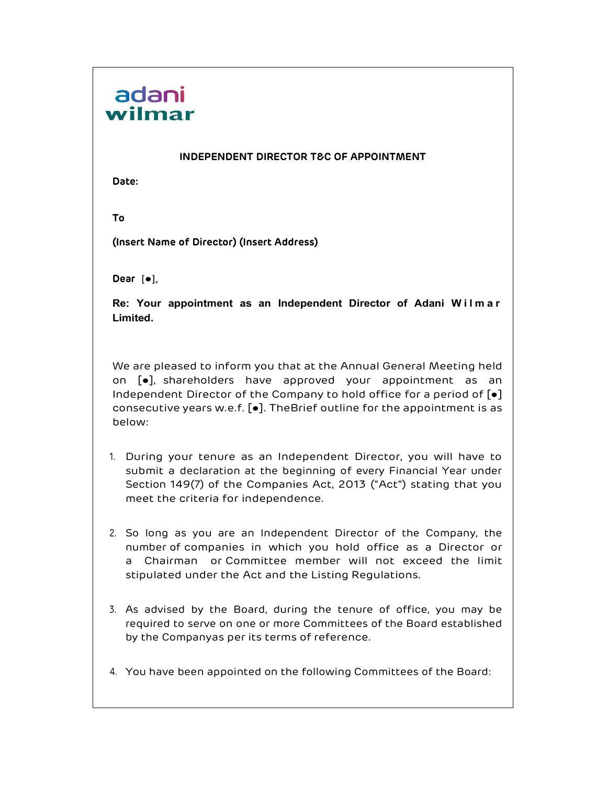## INDEPENDENT DIRECTOR T&C OF APPOINTMENT

Date:

To

(Insert Name of Director) (Insert Address)

Dear [ $\bullet$ ],

**Resp. 1988**<br>
INDEPENDENT DIRECTOR T&C OF APPOINTMENT<br>
Date:<br>
To<br>
(Insert Name of Director) (Insert Address)<br>
Dear [e],<br>
Re: Your appointment as an Independent Director of Adani Wilmar<br>
Limited.<br>
We are pleased to inform y Limited.

We are pleased to inform you that at the Annual General Meeting held on [●], shareholders have approved your appointment as an Independent Director of the Company to hold office for a period of [●] consecutive years w.e.f. [●]. The Brief outline for the appointment is as below:

- 1. During your tenure as an Independent Director, you will have to submit a declaration at the beginning of every Financial Year under Section 149(7) of the Companies Act, 2013 ("Act") stating that you meet the criteria for independence.
- 2. So long as you are an Independent Director of the Company, the number of companies in which you hold office as a Director or a Chairman or Committee member will not exceed the limit stipulated under the Act and the Listing Regulations.
- 3. As advised by the Board, during the tenure of office, you may be required to serve on one or more Committees of the Board established by the Companyas per its terms of reference.
- 4. You have been appointed on the following Committees of the Board: